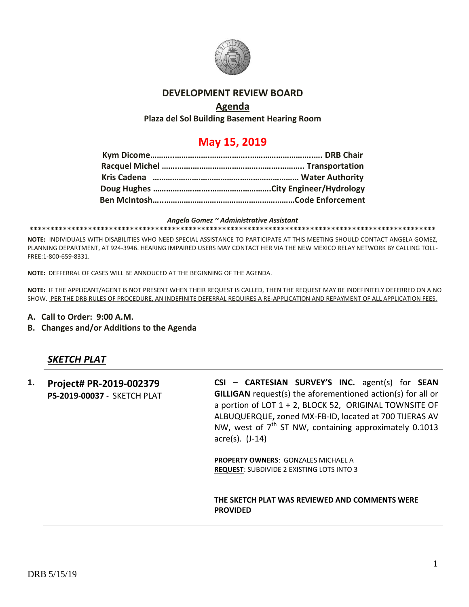

## **DEVELOPMENT REVIEW BOARD**

## **Agenda**

**Plaza del Sol Building Basement Hearing Room**

## **May 15, 2019**

*Angela Gomez ~ Administrative Assistant* **\*\*\*\*\*\*\*\*\*\*\*\*\*\*\*\*\*\*\*\*\*\*\*\*\*\*\*\*\*\*\*\*\*\*\*\*\*\*\*\*\*\*\*\*\*\*\*\*\*\*\*\*\*\*\*\*\*\*\*\*\*\*\*\*\*\*\*\*\*\*\*\*\*\*\*\*\*\*\*\*\*\*\*\*\*\*\*\*\*\*\*\*\*\*\*\*\***

**NOTE:** INDIVIDUALS WITH DISABILITIES WHO NEED SPECIAL ASSISTANCE TO PARTICIPATE AT THIS MEETING SHOULD CONTACT ANGELA GOMEZ, PLANNING DEPARTMENT, AT 924-3946. HEARING IMPAIRED USERS MAY CONTACT HER VIA THE NEW MEXICO RELAY NETWORK BY CALLING TOLL-FREE:1-800-659-8331.

**NOTE:** DEFFERRAL OF CASES WILL BE ANNOUCED AT THE BEGINNING OF THE AGENDA.

**NOTE:** IF THE APPLICANT/AGENT IS NOT PRESENT WHEN THEIR REQUEST IS CALLED, THEN THE REQUEST MAY BE INDEFINITELY DEFERRED ON A NO SHOW. PER THE DRB RULES OF PROCEDURE, AN INDEFINITE DEFERRAL REQUIRES A RE-APPLICATION AND REPAYMENT OF ALL APPLICATION FEES.

- **A. Call to Order: 9:00 A.M.**
- **B. Changes and/or Additions to the Agenda**

## *SKETCH PLAT*

**1. Project# PR-2019-002379 PS-2019**-**00037** - SKETCH PLAT **CSI – CARTESIAN SURVEY'S INC.** agent(s) for **SEAN GILLIGAN** request(s) the aforementioned action(s) for all or a portion of LOT 1 + 2, BLOCK 52, ORIGINAL TOWNSITE OF ALBUQUERQUE**,** zoned MX-FB-ID, located at 700 TIJERAS AV NW, west of  $7<sup>th</sup>$  ST NW, containing approximately 0.1013 acre(s). (J-14)

> **PROPERTY OWNERS**: GONZALES MICHAEL A **REQUEST**: SUBDIVIDE 2 EXISTING LOTS INTO 3

**THE SKETCH PLAT WAS REVIEWED AND COMMENTS WERE PROVIDED**